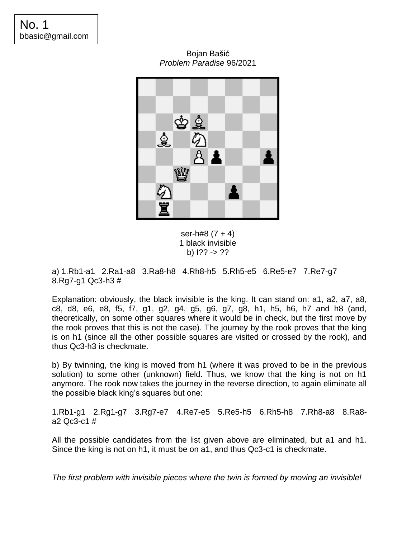Bojan Bašić *Problem Paradise* 96/2021



ser-h#8  $(7 + 4)$ 1 black invisible b) I?? -> ??

a) 1.Rb1-a1 2.Ra1-a8 3.Ra8-h8 4.Rh8-h5 5.Rh5-e5 6.Re5-e7 7.Re7-g7 8.Rg7-g1 Qc3-h3 #

Explanation: obviously, the black invisible is the king. It can stand on: a1, a2, a7, a8, c8, d8, e6, e8, f5, f7, g1, g2, g4, g5, g6, g7, g8, h1, h5, h6, h7 and h8 (and, theoretically, on some other squares where it would be in check, but the first move by the rook proves that this is not the case). The journey by the rook proves that the king is on h1 (since all the other possible squares are visited or crossed by the rook), and thus Qc3-h3 is checkmate.

b) By twinning, the king is moved from h1 (where it was proved to be in the previous solution) to some other (unknown) field. Thus, we know that the king is not on h1 anymore. The rook now takes the journey in the reverse direction, to again eliminate all the possible black king's squares but one:

1.Rb1-g1 2.Rg1-g7 3.Rg7-e7 4.Re7-e5 5.Re5-h5 6.Rh5-h8 7.Rh8-a8 8.Ra8 a2 Qc3-c1 #

All the possible candidates from the list given above are eliminated, but a1 and h1. Since the king is not on h1, it must be on a1, and thus Qc3-c1 is checkmate.

*The first problem with invisible pieces where the twin is formed by moving an invisible!*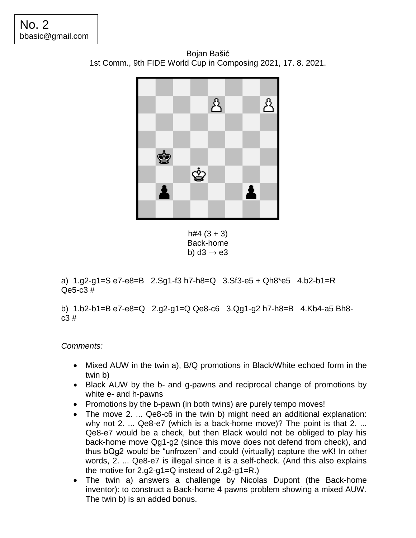Bojan Bašić 1st Comm., 9th FIDE World Cup in Composing 2021, 17. 8. 2021.



 $h#4$  (3 + 3) Back-home b) d3  $\rightarrow$  e3

a) 1.g2-g1=S e7-e8=B 2.Sg1-f3 h7-h8=Q 3.Sf3-e5 + Qh8\*e5 4.b2-b1=R Qe5-c3 #

b) 1.b2-b1=B e7-e8=Q 2.g2-g1=Q Qe8-c6 3.Qg1-g2 h7-h8=B 4.Kb4-a5 Bh8 c3 #

*Comments:*

- Mixed AUW in the twin a), B/Q promotions in Black/White echoed form in the twin b)
- Black AUW by the b- and g-pawns and reciprocal change of promotions by white e- and h-pawns
- Promotions by the b-pawn (in both twins) are purely tempo moves!
- The move 2. ... Qe8-c6 in the twin b) might need an additional explanation: why not 2. ... Qe8-e7 (which is a back-home move)? The point is that 2. ... Qe8-e7 would be a check, but then Black would not be obliged to play his back-home move Qg1-g2 (since this move does not defend from check), and thus bQg2 would be "unfrozen" and could (virtually) capture the wK! In other words, 2. ... Qe8-e7 is illegal since it is a self-check. (And this also explains the motive for 2.g2-g1=Q instead of 2.g2-g1=R.)
- The twin a) answers a challenge by Nicolas Dupont (the Back-home inventor): to construct a Back-home 4 pawns problem showing a mixed AUW. The twin b) is an added bonus.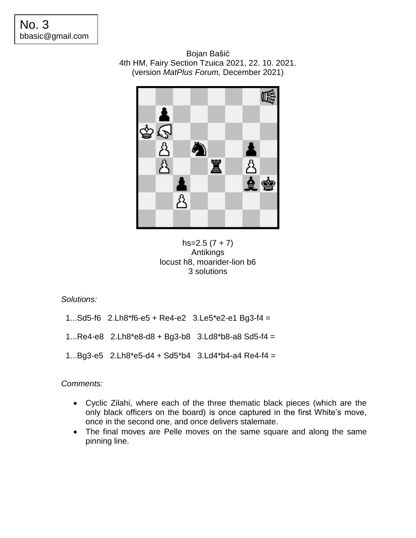Bojan Bašić 4th HM, Fairy Section Tzuica 2021, 22. 10. 2021. (version *MatPlus Forum,* December 2021)



 $hs=2.5(7 + 7)$ Antikings locust h8, moarider-lion b6 3 solutions

*Solutions:*

- 1...Sd5-f6 2.Lh8\*f6-e5 + Re4-e2 3.Le5\*e2-e1 Bg3-f4 =
- 1...Re4-e8 2.Lh8\*e8-d8 + Bg3-b8 3.Ld8\*b8-a8 Sd5-f4 =
- 1...Bg3-e5 2.Lh8\*e5-d4 + Sd5\*b4 3.Ld4\*b4-a4 Re4-f4 =

*Comments:*

- Cyclic Zilahi, where each of the three thematic black pieces (which are the only black officers on the board) is once captured in the first White's move, once in the second one, and once delivers stalemate.
- The final moves are Pelle moves on the same square and along the same pinning line.